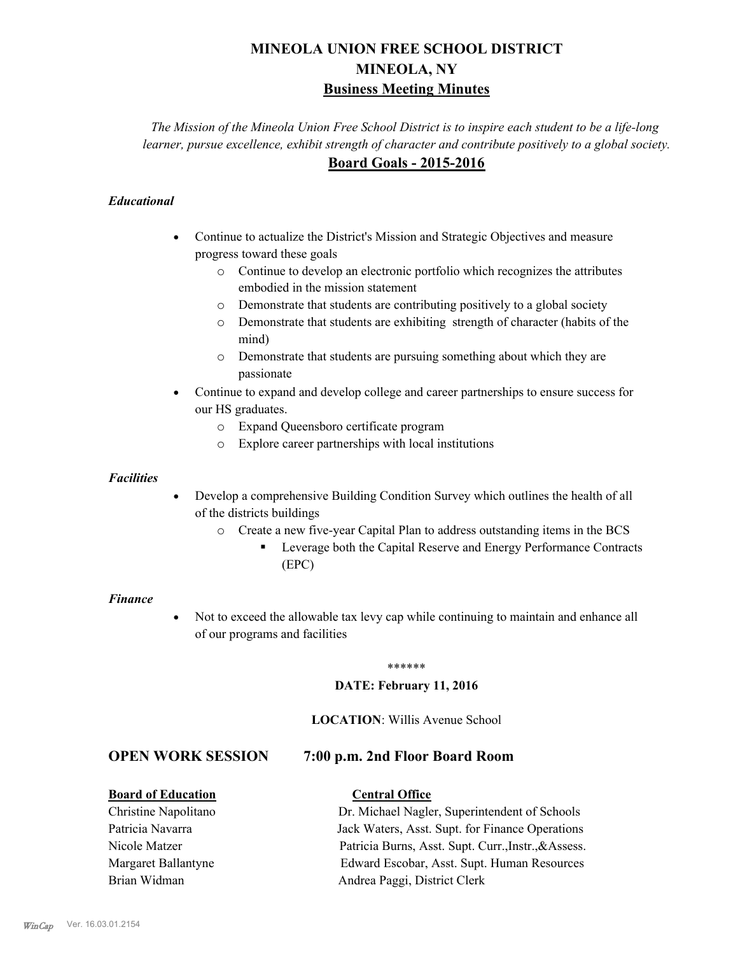# **MINEOLA UNION FREE SCHOOL DISTRICT MINEOLA, NY Business Meeting Minutes**

*The Mission of the Mineola Union Free School District is to inspire each student to be a life-long learner, pursue excellence, exhibit strength of character and contribute positively to a global society.* **Board Goals - 2015-2016**

### *Educational*

- · Continue to actualize the District's Mission and Strategic Objectives and measure progress toward these goals
	- o Continue to develop an electronic portfolio which recognizes the attributes embodied in the mission statement
	- o Demonstrate that students are contributing positively to a global society
	- o Demonstrate that students are exhibiting strength of character (habits of the mind)
	- o Demonstrate that students are pursuing something about which they are passionate
- Continue to expand and develop college and career partnerships to ensure success for our HS graduates.
	- o Expand Queensboro certificate program
	- o Explore career partnerships with local institutions

#### *Facilities*

- Develop a comprehensive Building Condition Survey which outlines the health of all of the districts buildings
	- o Create a new five-year Capital Plan to address outstanding items in the BCS
		- § Leverage both the Capital Reserve and Energy Performance Contracts (EPC)

#### *Finance*

• Not to exceed the allowable tax levy cap while continuing to maintain and enhance all of our programs and facilities

#### \*\*\*\*\*\*

#### **DATE: February 11, 2016**

#### **LOCATION**: Willis Avenue School

## **OPEN WORK SESSION 7:00 p.m. 2nd Floor Board Room**

#### **Board of Education Central Office**

Christine Napolitano Dr. Michael Nagler, Superintendent of Schools Patricia Navarra Jack Waters, Asst. Supt. for Finance Operations Nicole Matzer Patricia Burns, Asst. Supt. Curr.,Instr.,&Assess. Margaret Ballantyne Edward Escobar, Asst. Supt. Human Resources Brian Widman **Andrea Paggi, District Clerk**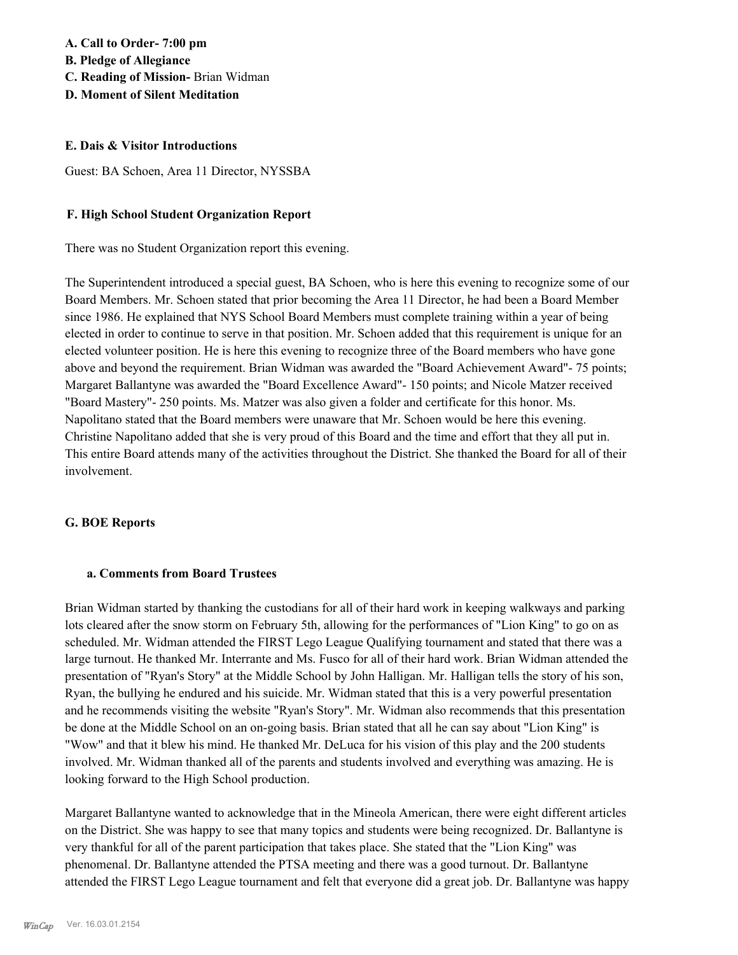#### **E. Dais & Visitor Introductions**

Guest: BA Schoen, Area 11 Director, NYSSBA

#### **F. High School Student Organization Report**

There was no Student Organization report this evening.

The Superintendent introduced a special guest, BA Schoen, who is here this evening to recognize some of our Board Members. Mr. Schoen stated that prior becoming the Area 11 Director, he had been a Board Member since 1986. He explained that NYS School Board Members must complete training within a year of being elected in order to continue to serve in that position. Mr. Schoen added that this requirement is unique for an elected volunteer position. He is here this evening to recognize three of the Board members who have gone above and beyond the requirement. Brian Widman was awarded the "Board Achievement Award"- 75 points; Margaret Ballantyne was awarded the "Board Excellence Award"- 150 points; and Nicole Matzer received "Board Mastery"- 250 points. Ms. Matzer was also given a folder and certificate for this honor. Ms. Napolitano stated that the Board members were unaware that Mr. Schoen would be here this evening. Christine Napolitano added that she is very proud of this Board and the time and effort that they all put in. This entire Board attends many of the activities throughout the District. She thanked the Board for all of their involvement.

#### **G. BOE Reports**

#### **a. Comments from Board Trustees**

Brian Widman started by thanking the custodians for all of their hard work in keeping walkways and parking lots cleared after the snow storm on February 5th, allowing for the performances of "Lion King" to go on as scheduled. Mr. Widman attended the FIRST Lego League Qualifying tournament and stated that there was a large turnout. He thanked Mr. Interrante and Ms. Fusco for all of their hard work. Brian Widman attended the presentation of "Ryan's Story" at the Middle School by John Halligan. Mr. Halligan tells the story of his son, Ryan, the bullying he endured and his suicide. Mr. Widman stated that this is a very powerful presentation and he recommends visiting the website "Ryan's Story". Mr. Widman also recommends that this presentation be done at the Middle School on an on-going basis. Brian stated that all he can say about "Lion King" is "Wow" and that it blew his mind. He thanked Mr. DeLuca for his vision of this play and the 200 students involved. Mr. Widman thanked all of the parents and students involved and everything was amazing. He is looking forward to the High School production.

Margaret Ballantyne wanted to acknowledge that in the Mineola American, there were eight different articles on the District. She was happy to see that many topics and students were being recognized. Dr. Ballantyne is very thankful for all of the parent participation that takes place. She stated that the "Lion King" was phenomenal. Dr. Ballantyne attended the PTSA meeting and there was a good turnout. Dr. Ballantyne attended the FIRST Lego League tournament and felt that everyone did a great job. Dr. Ballantyne was happy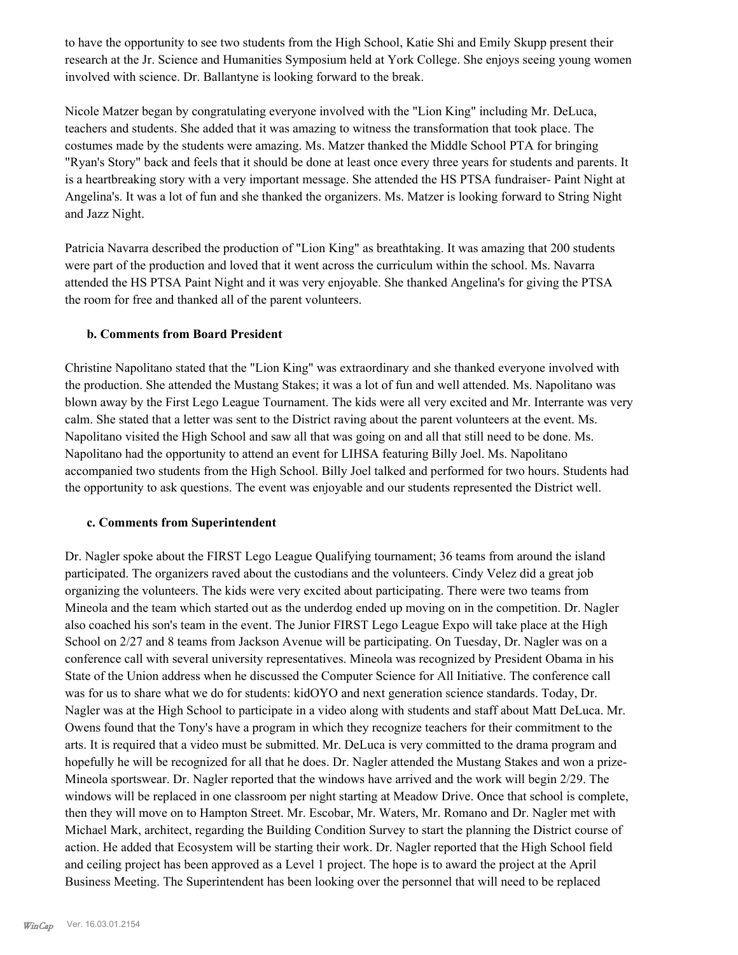to have the opportunity to see two students from the High School, Katie Shi and Emily Skupp present their research at the Jr. Science and Humanities Symposium held at York College. She enjoys seeing young women involved with science. Dr. Ballantyne is looking forward to the break.

Nicole Matzer began by congratulating everyone involved with the "Lion King" including Mr. DeLuca, teachers and students. She added that it was amazing to witness the transformation that took place. The costumes made by the students were amazing. Ms. Matzer thanked the Middle School PTA for bringing "Ryan's Story" back and feels that it should be done at least once every three years for students and parents. It is a heartbreaking story with a very important message. She attended the HS PTSA fundraiser- Paint Night at Angelina's. It was a lot of fun and she thanked the organizers. Ms. Matzer is looking forward to String Night and Jazz Night.

Patricia Navarra described the production of "Lion King" as breathtaking. It was amazing that 200 students were part of the production and loved that it went across the curriculum within the school. Ms. Navarra attended the HS PTSA Paint Night and it was very enjoyable. She thanked Angelina's for giving the PTSA the room for free and thanked all of the parent volunteers.

#### **b. Comments from Board President**

Christine Napolitano stated that the "Lion King" was extraordinary and she thanked everyone involved with the production. She attended the Mustang Stakes; it was a lot of fun and well attended. Ms. Napolitano was blown away by the First Lego League Tournament. The kids were all very excited and Mr. Interrante was very calm. She stated that a letter was sent to the District raving about the parent volunteers at the event. Ms. Napolitano visited the High School and saw all that was going on and all that still need to be done. Ms. Napolitano had the opportunity to attend an event for LIHSA featuring Billy Joel. Ms. Napolitano accompanied two students from the High School. Billy Joel talked and performed for two hours. Students had the opportunity to ask questions. The event was enjoyable and our students represented the District well.

#### **c. Comments from Superintendent**

Dr. Nagler spoke about the FIRST Lego League Qualifying tournament; 36 teams from around the island participated. The organizers raved about the custodians and the volunteers. Cindy Velez did a great job organizing the volunteers. The kids were very excited about participating. There were two teams from Mineola and the team which started out as the underdog ended up moving on in the competition. Dr. Nagler also coached his son's team in the event. The Junior FIRST Lego League Expo will take place at the High School on 2/27 and 8 teams from Jackson Avenue will be participating. On Tuesday, Dr. Nagler was on a conference call with several university representatives. Mineola was recognized by President Obama in his State of the Union address when he discussed the Computer Science for All Initiative. The conference call was for us to share what we do for students: kidOYO and next generation science standards. Today, Dr. Nagler was at the High School to participate in a video along with students and staff about Matt DeLuca. Mr. Owens found that the Tony's have a program in which they recognize teachers for their commitment to the arts. It is required that a video must be submitted. Mr. DeLuca is very committed to the drama program and hopefully he will be recognized for all that he does. Dr. Nagler attended the Mustang Stakes and won a prize-Mineola sportswear. Dr. Nagler reported that the windows have arrived and the work will begin 2/29. The windows will be replaced in one classroom per night starting at Meadow Drive. Once that school is complete, then they will move on to Hampton Street. Mr. Escobar, Mr. Waters, Mr. Romano and Dr. Nagler met with Michael Mark, architect, regarding the Building Condition Survey to start the planning the District course of action. He added that Ecosystem will be starting their work. Dr. Nagler reported that the High School field and ceiling project has been approved as a Level 1 project. The hope is to award the project at the April Business Meeting. The Superintendent has been looking over the personnel that will need to be replaced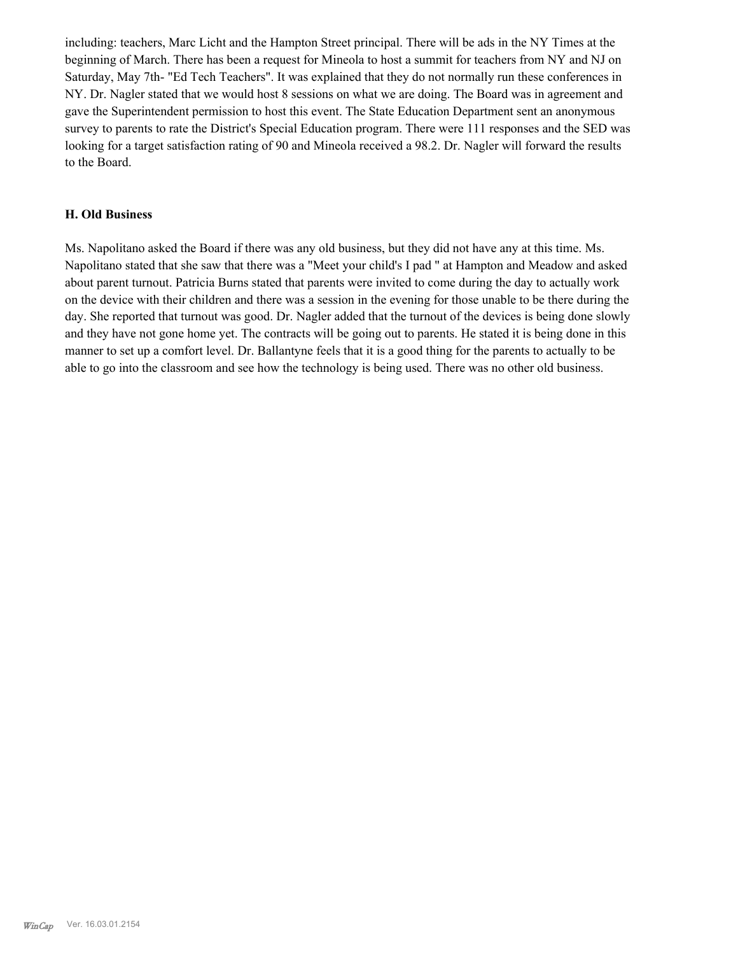including: teachers, Marc Licht and the Hampton Street principal. There will be ads in the NY Times at the beginning of March. There has been a request for Mineola to host a summit for teachers from NY and NJ on Saturday, May 7th- "Ed Tech Teachers". It was explained that they do not normally run these conferences in NY. Dr. Nagler stated that we would host 8 sessions on what we are doing. The Board was in agreement and gave the Superintendent permission to host this event. The State Education Department sent an anonymous survey to parents to rate the District's Special Education program. There were 111 responses and the SED was looking for a target satisfaction rating of 90 and Mineola received a 98.2. Dr. Nagler will forward the results to the Board.

#### **H. Old Business**

Ms. Napolitano asked the Board if there was any old business, but they did not have any at this time. Ms. Napolitano stated that she saw that there was a "Meet your child's I pad " at Hampton and Meadow and asked about parent turnout. Patricia Burns stated that parents were invited to come during the day to actually work on the device with their children and there was a session in the evening for those unable to be there during the day. She reported that turnout was good. Dr. Nagler added that the turnout of the devices is being done slowly and they have not gone home yet. The contracts will be going out to parents. He stated it is being done in this manner to set up a comfort level. Dr. Ballantyne feels that it is a good thing for the parents to actually to be able to go into the classroom and see how the technology is being used. There was no other old business.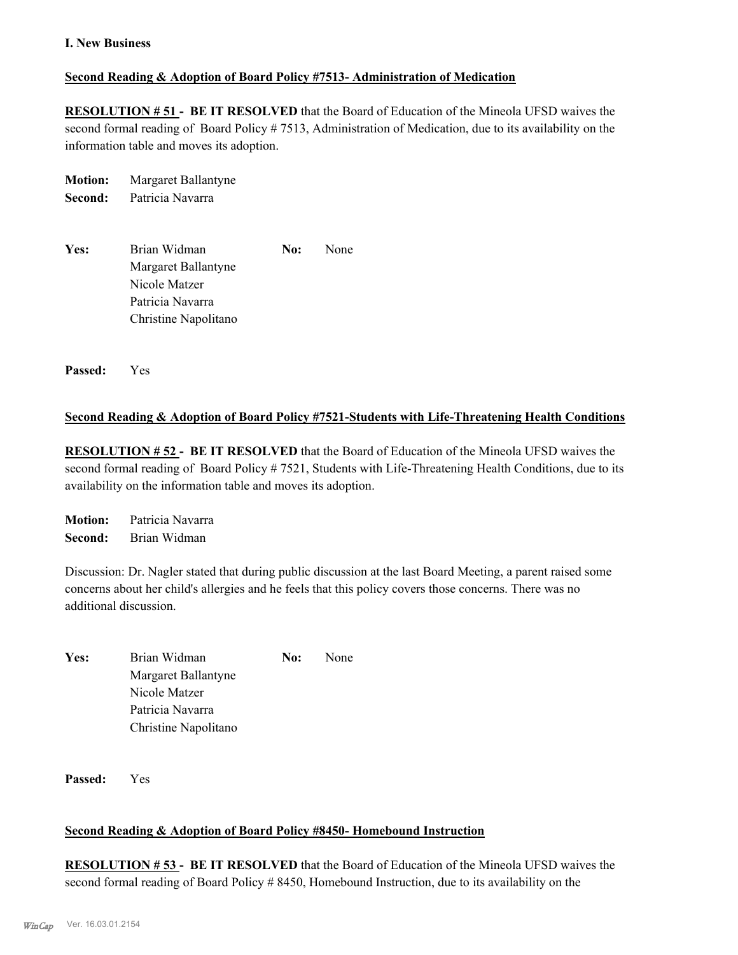#### **I. New Business**

#### **Second Reading & Adoption of Board Policy #7513- Administration of Medication**

**RESOLUTION # 51 - BE IT RESOLVED** that the Board of Education of the Mineola UFSD waives the second formal reading of Board Policy # 7513, Administration of Medication, due to its availability on the information table and moves its adoption.

| <b>Motion:</b> | Margaret Ballantyne |
|----------------|---------------------|
| Second:        | Patricia Navarra    |

| Yes: | Brian Widman         | No: | None |
|------|----------------------|-----|------|
|      | Margaret Ballantyne  |     |      |
|      | Nicole Matzer        |     |      |
|      | Patricia Navarra     |     |      |
|      | Christine Napolitano |     |      |

**Passed:** Yes

#### **Second Reading & Adoption of Board Policy #7521-Students with Life-Threatening Health Conditions**

**RESOLUTION # 52 - BE IT RESOLVED** that the Board of Education of the Mineola UFSD waives the second formal reading of Board Policy # 7521, Students with Life-Threatening Health Conditions, due to its availability on the information table and moves its adoption.

**Motion:** Patricia Navarra **Second:** Brian Widman

Discussion: Dr. Nagler stated that during public discussion at the last Board Meeting, a parent raised some concerns about her child's allergies and he feels that this policy covers those concerns. There was no additional discussion.

| Yes: | Brian Widman         | No: | None |
|------|----------------------|-----|------|
|      | Margaret Ballantyne  |     |      |
|      | Nicole Matzer        |     |      |
|      | Patricia Navarra     |     |      |
|      | Christine Napolitano |     |      |

**Passed:** Yes

#### **Second Reading & Adoption of Board Policy #8450- Homebound Instruction**

**RESOLUTION # 53 - BE IT RESOLVED** that the Board of Education of the Mineola UFSD waives the second formal reading of Board Policy # 8450, Homebound Instruction, due to its availability on the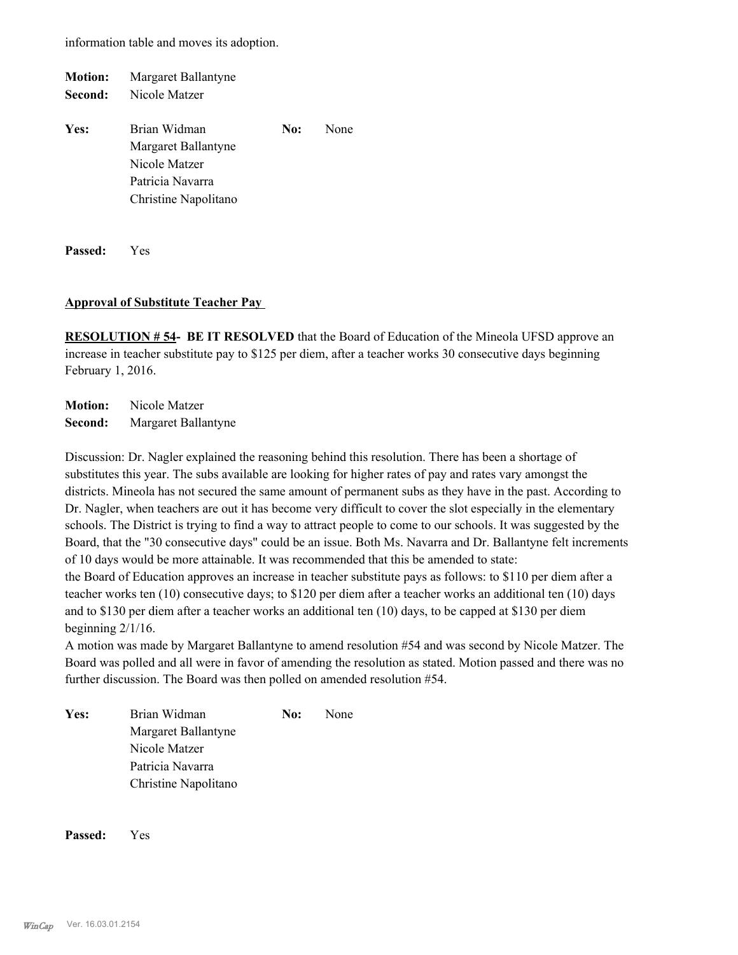information table and moves its adoption.

| <b>Motion:</b> | Margaret Ballantyne                                                      |     |      |
|----------------|--------------------------------------------------------------------------|-----|------|
| Second:        | Nicole Matzer                                                            |     |      |
| Yes:           | Brian Widman<br>Margaret Ballantyne<br>Nicole Matzer<br>Patricia Navarra | No: | None |
|                | Christine Napolitano                                                     |     |      |
|                |                                                                          |     |      |

**Passed:** Yes

#### **Approval of Substitute Teacher Pay**

**RESOLUTION # 54- BE IT RESOLVED** that the Board of Education of the Mineola UFSD approve an increase in teacher substitute pay to \$125 per diem, after a teacher works 30 consecutive days beginning February 1, 2016.

**Motion:** Nicole Matzer **Second:** Margaret Ballantyne

Discussion: Dr. Nagler explained the reasoning behind this resolution. There has been a shortage of substitutes this year. The subs available are looking for higher rates of pay and rates vary amongst the districts. Mineola has not secured the same amount of permanent subs as they have in the past. According to Dr. Nagler, when teachers are out it has become very difficult to cover the slot especially in the elementary schools. The District is trying to find a way to attract people to come to our schools. It was suggested by the Board, that the "30 consecutive days" could be an issue. Both Ms. Navarra and Dr. Ballantyne felt increments of 10 days would be more attainable. It was recommended that this be amended to state: the Board of Education approves an increase in teacher substitute pays as follows: to \$110 per diem after a teacher works ten (10) consecutive days; to \$120 per diem after a teacher works an additional ten (10) days and to \$130 per diem after a teacher works an additional ten (10) days, to be capped at \$130 per diem

beginning 2/1/16.

A motion was made by Margaret Ballantyne to amend resolution #54 and was second by Nicole Matzer. The Board was polled and all were in favor of amending the resolution as stated. Motion passed and there was no further discussion. The Board was then polled on amended resolution #54.

Yes: Brian Widman **No:** None Margaret Ballantyne Nicole Matzer Patricia Navarra Christine Napolitano

**Passed:** Yes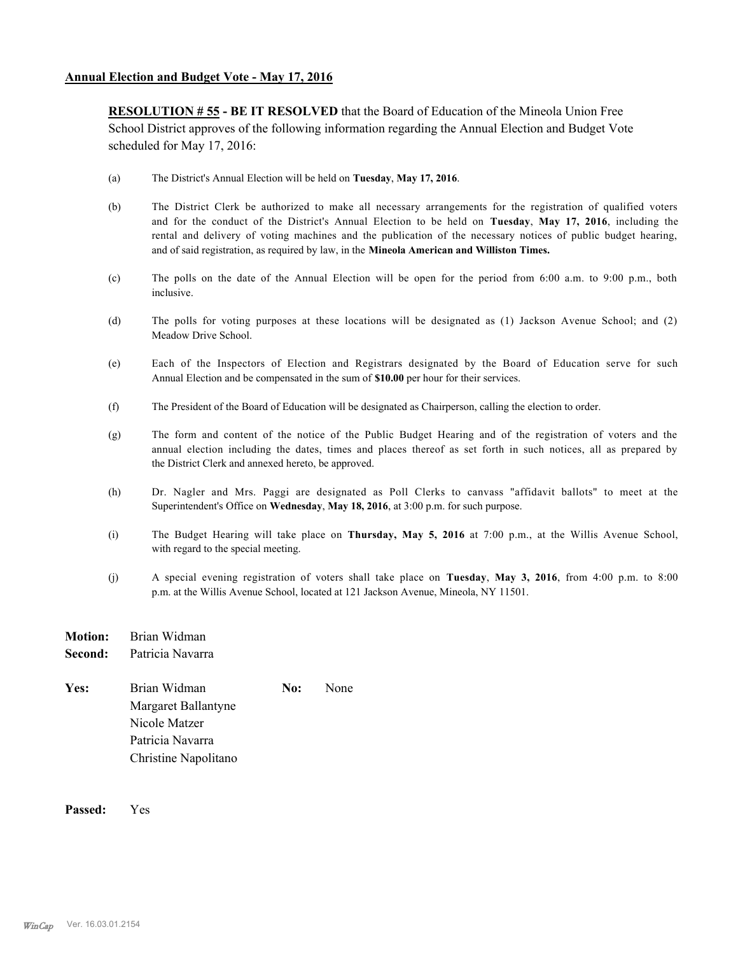**RESOLUTION # 55 - BE IT RESOLVED** that the Board of Education of the Mineola Union Free School District approves of the following information regarding the Annual Election and Budget Vote scheduled for May 17, 2016:

- (a) The District's Annual Election will be held on **Tuesday**, **May 17, 2016**.
- (b) The District Clerk be authorized to make all necessary arrangements for the registration of qualified voters and for the conduct of the District's Annual Election to be held on **Tuesday**, **May 17, 2016**, including the rental and delivery of voting machines and the publication of the necessary notices of public budget hearing, and of said registration, as required by law, in the **Mineola American and Williston Times.**
- (c) The polls on the date of the Annual Election will be open for the period from 6:00 a.m. to 9:00 p.m., both inclusive.
- (d) The polls for voting purposes at these locations will be designated as (1) Jackson Avenue School; and (2) Meadow Drive School.
- (e) Each of the Inspectors of Election and Registrars designated by the Board of Education serve for such Annual Election and be compensated in the sum of **\$10.00** per hour for their services.
- (f) The President of the Board of Education will be designated as Chairperson, calling the election to order.
- (g) The form and content of the notice of the Public Budget Hearing and of the registration of voters and the annual election including the dates, times and places thereof as set forth in such notices, all as prepared by the District Clerk and annexed hereto, be approved.
- (h) Dr. Nagler and Mrs. Paggi are designated as Poll Clerks to canvass "affidavit ballots" to meet at the Superintendent's Office on **Wednesday**, **May 18, 2016**, at 3:00 p.m. for such purpose.
- (i) The Budget Hearing will take place on **Thursday, May 5, 2016** at 7:00 p.m., at the Willis Avenue School, with regard to the special meeting.
- (j) A special evening registration of voters shall take place on **Tuesday**, **May 3, 2016**, from 4:00 p.m. to 8:00 p.m. at the Willis Avenue School, located at 121 Jackson Avenue, Mineola, NY 11501.
- **Motion:** Brian Widman **Second:** Patricia Navarra
- Yes: Brian Widman **No:** None Margaret Ballantyne Nicole Matzer Patricia Navarra Christine Napolitano

**Passed:** Yes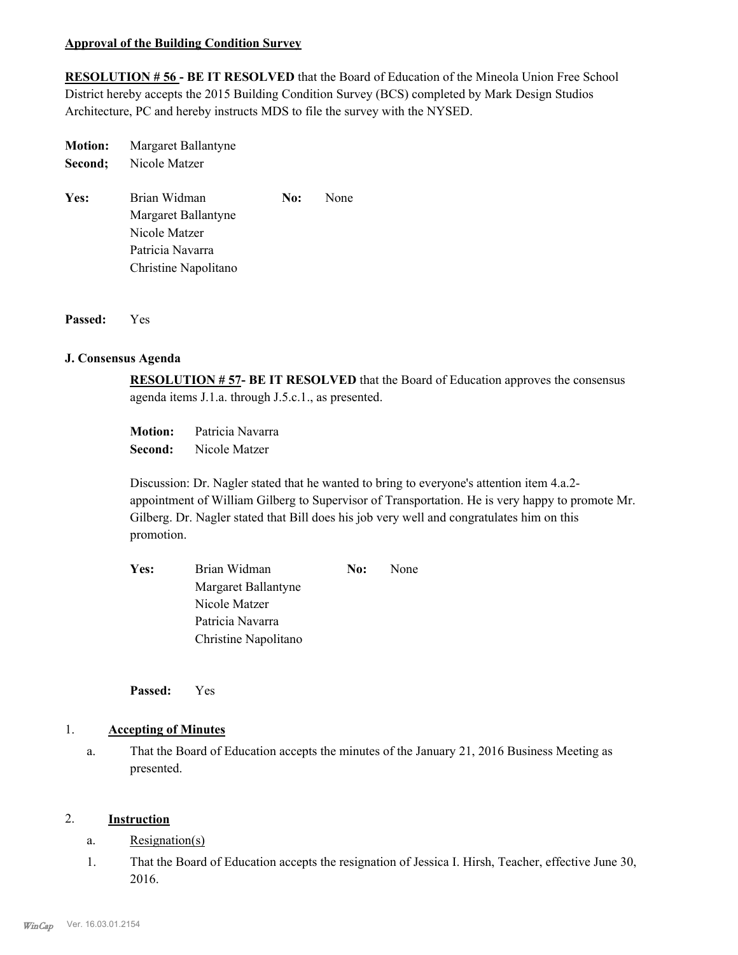#### **Approval of the Building Condition Survey**

**RESOLUTION # 56 - BE IT RESOLVED** that the Board of Education of the Mineola Union Free School District hereby accepts the 2015 Building Condition Survey (BCS) completed by Mark Design Studios Architecture, PC and hereby instructs MDS to file the survey with the NYSED.

| <b>Motion:</b> | Margaret Ballantyne |
|----------------|---------------------|
| Second:        | Nicole Matzer       |

Yes: Brian Widman **No:** None Margaret Ballantyne Nicole Matzer Patricia Navarra Christine Napolitano

**Passed:** Yes

#### **J. Consensus Agenda**

**RESOLUTION # 57- BE IT RESOLVED** that the Board of Education approves the consensus agenda items J.1.a. through J.5.c.1., as presented.

**Motion:** Patricia Navarra **Second:** Nicole Matzer

Discussion: Dr. Nagler stated that he wanted to bring to everyone's attention item 4.a.2 appointment of William Gilberg to Supervisor of Transportation. He is very happy to promote Mr. Gilberg. Dr. Nagler stated that Bill does his job very well and congratulates him on this promotion.

| Yes: | Brian Widman         | No: | None |
|------|----------------------|-----|------|
|      | Margaret Ballantyne  |     |      |
|      | Nicole Matzer        |     |      |
|      | Patricia Navarra     |     |      |
|      | Christine Napolitano |     |      |

**Passed:** Yes

#### 1. **Accepting of Minutes**

That the Board of Education accepts the minutes of the January 21, 2016 Business Meeting as presented. a.

#### 2. **Instruction**

- a. Resignation(s)
- That the Board of Education accepts the resignation of Jessica I. Hirsh, Teacher, effective June 30, 2016. 1.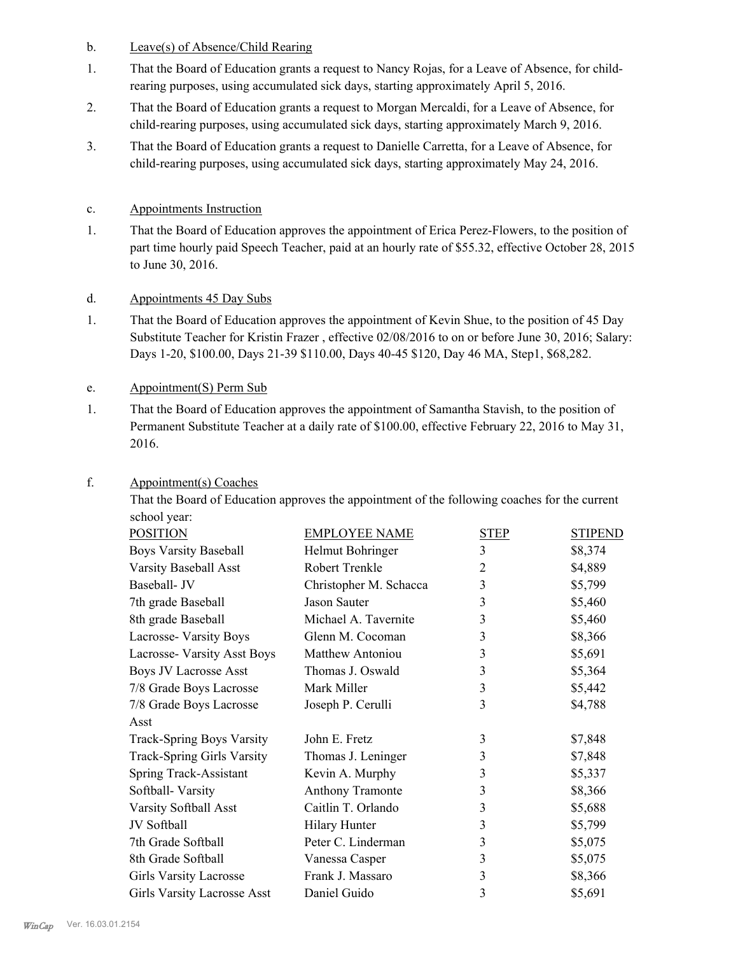#### b. Leave(s) of Absence/Child Rearing

- That the Board of Education grants a request to Nancy Rojas, for a Leave of Absence, for childrearing purposes, using accumulated sick days, starting approximately April 5, 2016. 1.
- That the Board of Education grants a request to Morgan Mercaldi, for a Leave of Absence, for child-rearing purposes, using accumulated sick days, starting approximately March 9, 2016. 2.
- That the Board of Education grants a request to Danielle Carretta, for a Leave of Absence, for child-rearing purposes, using accumulated sick days, starting approximately May 24, 2016. 3.

#### c. Appointments Instruction

That the Board of Education approves the appointment of Erica Perez-Flowers, to the position of part time hourly paid Speech Teacher, paid at an hourly rate of \$55.32, effective October 28, 2015 to June 30, 2016. 1.

#### d. Appointments 45 Day Subs

That the Board of Education approves the appointment of Kevin Shue, to the position of 45 Day Substitute Teacher for Kristin Frazer , effective 02/08/2016 to on or before June 30, 2016; Salary: Days 1-20, \$100.00, Days 21-39 \$110.00, Days 40-45 \$120, Day 46 MA, Step1, \$68,282. 1.

#### e. Appointment(S) Perm Sub

That the Board of Education approves the appointment of Samantha Stavish, to the position of Permanent Substitute Teacher at a daily rate of \$100.00, effective February 22, 2016 to May 31, 2016. 1.

That the Board of Education approves the appointment of the following coaches for the current

| school year:                       |                         |                |                |
|------------------------------------|-------------------------|----------------|----------------|
| <b>POSITION</b>                    | <b>EMPLOYEE NAME</b>    | <b>STEP</b>    | <b>STIPEND</b> |
| <b>Boys Varsity Baseball</b>       | Helmut Bohringer        | 3              | \$8,374        |
| Varsity Baseball Asst              | Robert Trenkle          | $\overline{2}$ | \$4,889        |
| Baseball- JV                       | Christopher M. Schacca  | 3              | \$5,799        |
| 7th grade Baseball                 | Jason Sauter            | 3              | \$5,460        |
| 8th grade Baseball                 | Michael A. Tavernite    | 3              | \$5,460        |
| Lacrosse- Varsity Boys             | Glenn M. Cocoman        | 3              | \$8,366        |
| Lacrosse- Varsity Asst Boys        | <b>Matthew Antoniou</b> | 3              | \$5,691        |
| <b>Boys JV Lacrosse Asst</b>       | Thomas J. Oswald        | 3              | \$5,364        |
| 7/8 Grade Boys Lacrosse            | Mark Miller             | 3              | \$5,442        |
| 7/8 Grade Boys Lacrosse            | Joseph P. Cerulli       | 3              | \$4,788        |
| Asst                               |                         |                |                |
| <b>Track-Spring Boys Varsity</b>   | John E. Fretz           | 3              | \$7,848        |
| <b>Track-Spring Girls Varsity</b>  | Thomas J. Leninger      | 3              | \$7,848        |
| Spring Track-Assistant             | Kevin A. Murphy         | 3              | \$5,337        |
| Softball-Varsity                   | Anthony Tramonte        | 3              | \$8,366        |
| Varsity Softball Asst              | Caitlin T. Orlando      | 3              | \$5,688        |
| JV Softball                        | <b>Hilary Hunter</b>    | 3              | \$5,799        |
| 7th Grade Softball                 | Peter C. Linderman      | 3              | \$5,075        |
| 8th Grade Softball                 | Vanessa Casper          | 3              | \$5,075        |
| <b>Girls Varsity Lacrosse</b>      | Frank J. Massaro        | 3              | \$8,366        |
| <b>Girls Varsity Lacrosse Asst</b> | Daniel Guido            | 3              | \$5,691        |
|                                    |                         |                |                |

#### Appointment(s) Coaches f.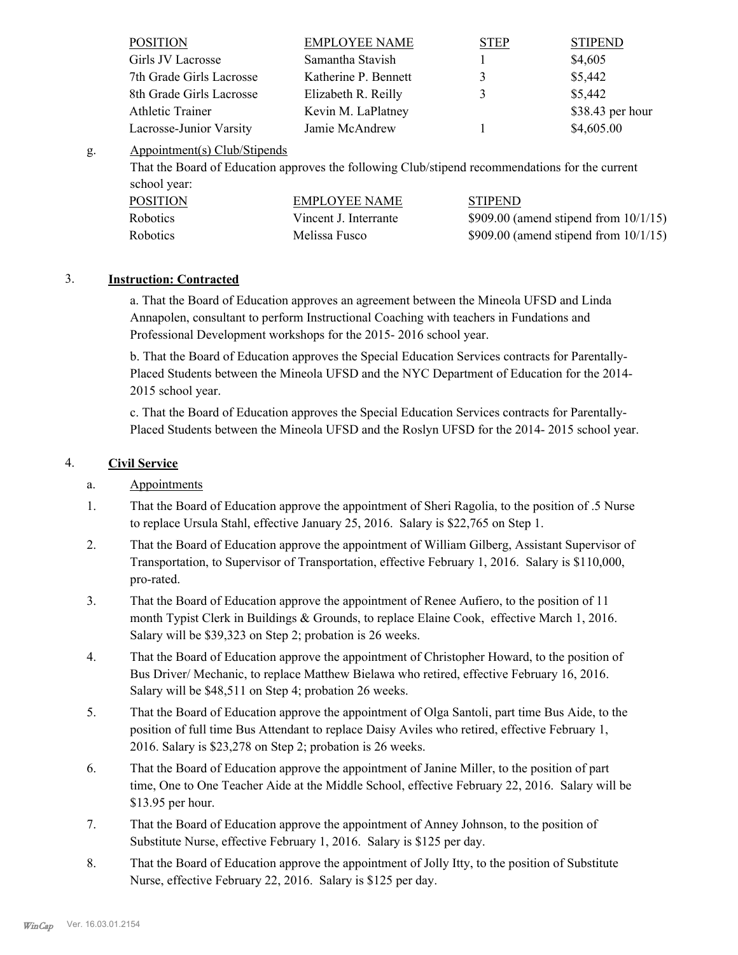| <b>POSITION</b>          | <b>EMPLOYEE NAME</b> | <b>STEP</b> | <b>STIPEND</b>   |
|--------------------------|----------------------|-------------|------------------|
| Girls JV Lacrosse        | Samantha Stavish     |             | \$4,605          |
| 7th Grade Girls Lacrosse | Katherine P. Bennett | 3           | \$5,442          |
| 8th Grade Girls Lacrosse | Elizabeth R. Reilly  | 3           | \$5,442          |
| <b>Athletic Trainer</b>  | Kevin M. LaPlatney   |             | \$38.43 per hour |
| Lacrosse-Junior Varsity  | Jamie McAndrew       |             | \$4,605.00       |

#### Appointment(s) Club/Stipends g.

That the Board of Education approves the following Club/stipend recommendations for the current school year:

| <b>POSITION</b> | EMPLOYEE NAME         | <b>STIPEND</b>                            |
|-----------------|-----------------------|-------------------------------------------|
| <b>Robotics</b> | Vincent J. Interrante | $$909.00$ (amend stipend from $10/1/15$ ) |
| <b>Robotics</b> | Melissa Fusco         | $$909.00$ (amend stipend from $10/1/15$ ) |

## 3. **Instruction: Contracted**

a. That the Board of Education approves an agreement between the Mineola UFSD and Linda Annapolen, consultant to perform Instructional Coaching with teachers in Fundations and Professional Development workshops for the 2015- 2016 school year.

b. That the Board of Education approves the Special Education Services contracts for Parentally-Placed Students between the Mineola UFSD and the NYC Department of Education for the 2014- 2015 school year.

c. That the Board of Education approves the Special Education Services contracts for Parentally-Placed Students between the Mineola UFSD and the Roslyn UFSD for the 2014- 2015 school year.

### 4. **Civil Service**

## a. Appointments

- That the Board of Education approve the appointment of Sheri Ragolia, to the position of .5 Nurse to replace Ursula Stahl, effective January 25, 2016. Salary is \$22,765 on Step 1. 1.
- That the Board of Education approve the appointment of William Gilberg, Assistant Supervisor of Transportation, to Supervisor of Transportation, effective February 1, 2016. Salary is \$110,000, pro-rated. 2.
- That the Board of Education approve the appointment of Renee Aufiero, to the position of 11 month Typist Clerk in Buildings & Grounds, to replace Elaine Cook, effective March 1, 2016. Salary will be \$39,323 on Step 2; probation is 26 weeks. 3.
- That the Board of Education approve the appointment of Christopher Howard, to the position of Bus Driver/ Mechanic, to replace Matthew Bielawa who retired, effective February 16, 2016. Salary will be \$48,511 on Step 4; probation 26 weeks. 4.
- That the Board of Education approve the appointment of Olga Santoli, part time Bus Aide, to the position of full time Bus Attendant to replace Daisy Aviles who retired, effective February 1, 2016. Salary is \$23,278 on Step 2; probation is 26 weeks. 5.
- That the Board of Education approve the appointment of Janine Miller, to the position of part time, One to One Teacher Aide at the Middle School, effective February 22, 2016. Salary will be \$13.95 per hour. 6.
- That the Board of Education approve the appointment of Anney Johnson, to the position of Substitute Nurse, effective February 1, 2016. Salary is \$125 per day. 7.
- That the Board of Education approve the appointment of Jolly Itty, to the position of Substitute Nurse, effective February 22, 2016. Salary is \$125 per day. 8.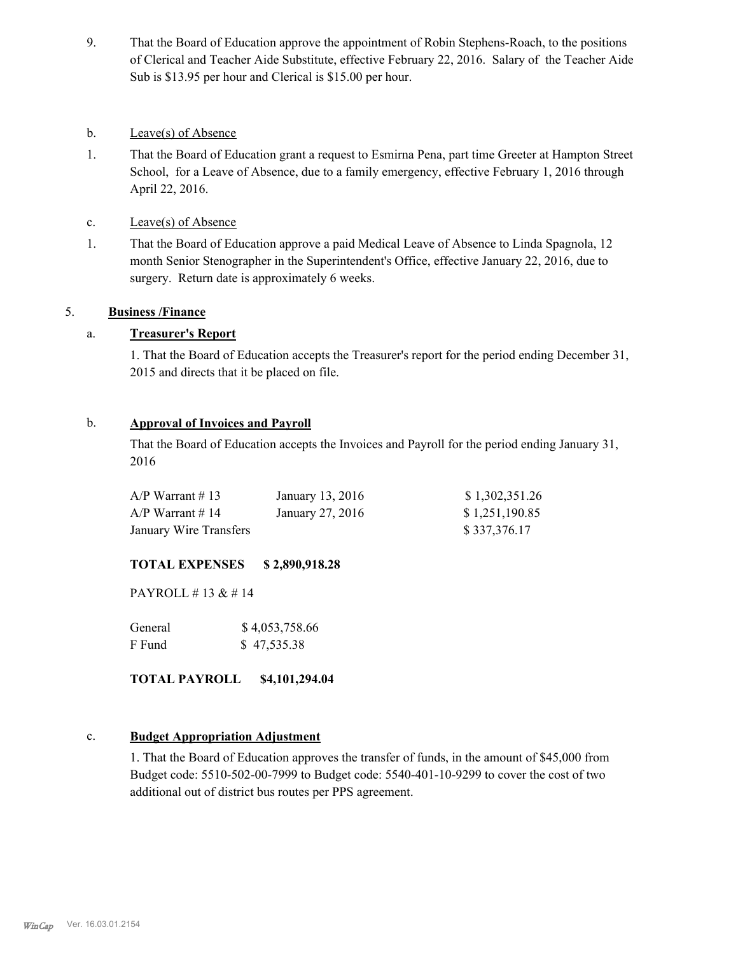- That the Board of Education approve the appointment of Robin Stephens-Roach, to the positions of Clerical and Teacher Aide Substitute, effective February 22, 2016. Salary of the Teacher Aide Sub is \$13.95 per hour and Clerical is \$15.00 per hour. 9.
- b. Leave(s) of Absence
- That the Board of Education grant a request to Esmirna Pena, part time Greeter at Hampton Street School, for a Leave of Absence, due to a family emergency, effective February 1, 2016 through April 22, 2016. 1.
- c. Leave(s) of Absence
- That the Board of Education approve a paid Medical Leave of Absence to Linda Spagnola, 12 month Senior Stenographer in the Superintendent's Office, effective January 22, 2016, due to surgery. Return date is approximately 6 weeks. 1.

#### 5. **Business /Finance**

#### a. **Treasurer's Report**

1. That the Board of Education accepts the Treasurer's report for the period ending December 31, 2015 and directs that it be placed on file.

#### b. **Approval of Invoices and Payroll**

That the Board of Education accepts the Invoices and Payroll for the period ending January 31, 2016

| $A/P$ Warrant #13      | January 13, 2016 | \$1,302,351.26 |
|------------------------|------------------|----------------|
| $A/P$ Warrant # 14     | January 27, 2016 | \$1,251,190.85 |
| January Wire Transfers |                  | \$337,376.17   |

#### **TOTAL EXPENSES \$ 2,890,918.28**

PAYROLL # 13 & # 14

| General | \$4,053,758.66 |
|---------|----------------|
| F Fund  | \$47,535.38    |

**TOTAL PAYROLL \$4,101,294.04**

#### c. **Budget Appropriation Adjustment**

1. That the Board of Education approves the transfer of funds, in the amount of \$45,000 from Budget code: 5510-502-00-7999 to Budget code: 5540-401-10-9299 to cover the cost of two additional out of district bus routes per PPS agreement.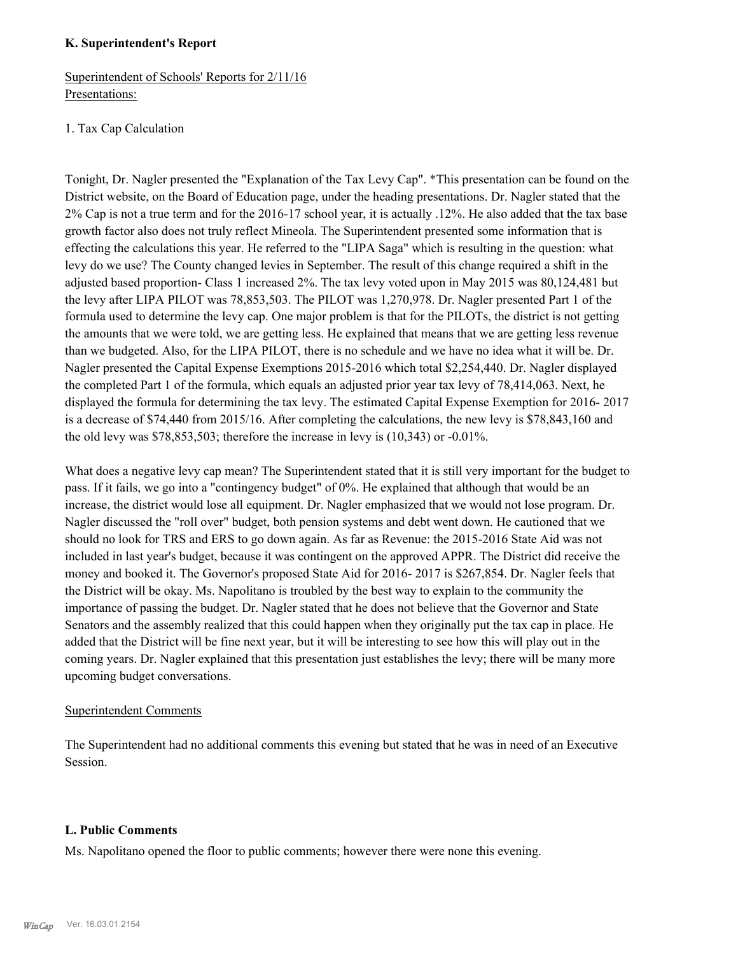#### **K. Superintendent's Report**

# Superintendent of Schools' Reports for 2/11/16 Presentations:

# 1. Tax Cap Calculation

Tonight, Dr. Nagler presented the "Explanation of the Tax Levy Cap". \*This presentation can be found on the District website, on the Board of Education page, under the heading presentations. Dr. Nagler stated that the 2% Cap is not a true term and for the 2016-17 school year, it is actually .12%. He also added that the tax base growth factor also does not truly reflect Mineola. The Superintendent presented some information that is effecting the calculations this year. He referred to the "LIPA Saga" which is resulting in the question: what levy do we use? The County changed levies in September. The result of this change required a shift in the adjusted based proportion- Class 1 increased 2%. The tax levy voted upon in May 2015 was 80,124,481 but the levy after LIPA PILOT was 78,853,503. The PILOT was 1,270,978. Dr. Nagler presented Part 1 of the formula used to determine the levy cap. One major problem is that for the PILOTs, the district is not getting the amounts that we were told, we are getting less. He explained that means that we are getting less revenue than we budgeted. Also, for the LIPA PILOT, there is no schedule and we have no idea what it will be. Dr. Nagler presented the Capital Expense Exemptions 2015-2016 which total \$2,254,440. Dr. Nagler displayed the completed Part 1 of the formula, which equals an adjusted prior year tax levy of 78,414,063. Next, he displayed the formula for determining the tax levy. The estimated Capital Expense Exemption for 2016- 2017 is a decrease of \$74,440 from 2015/16. After completing the calculations, the new levy is \$78,843,160 and the old levy was \$78,853,503; therefore the increase in levy is (10,343) or -0.01%.

What does a negative levy cap mean? The Superintendent stated that it is still very important for the budget to pass. If it fails, we go into a "contingency budget" of 0%. He explained that although that would be an increase, the district would lose all equipment. Dr. Nagler emphasized that we would not lose program. Dr. Nagler discussed the "roll over" budget, both pension systems and debt went down. He cautioned that we should no look for TRS and ERS to go down again. As far as Revenue: the 2015-2016 State Aid was not included in last year's budget, because it was contingent on the approved APPR. The District did receive the money and booked it. The Governor's proposed State Aid for 2016- 2017 is \$267,854. Dr. Nagler feels that the District will be okay. Ms. Napolitano is troubled by the best way to explain to the community the importance of passing the budget. Dr. Nagler stated that he does not believe that the Governor and State Senators and the assembly realized that this could happen when they originally put the tax cap in place. He added that the District will be fine next year, but it will be interesting to see how this will play out in the coming years. Dr. Nagler explained that this presentation just establishes the levy; there will be many more upcoming budget conversations.

#### Superintendent Comments

The Superintendent had no additional comments this evening but stated that he was in need of an Executive Session.

#### **L. Public Comments**

Ms. Napolitano opened the floor to public comments; however there were none this evening.